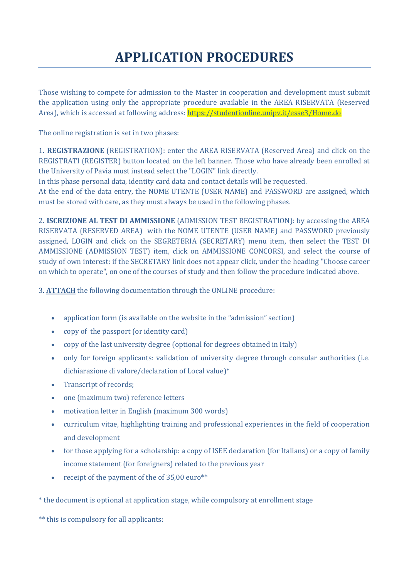## **APPLICATION PROCEDURES**

Those wishing to compete for admission to the Master in cooperation and development must submit the application using only the appropriate procedure available in the AREA RISERVATA (Reserved Area), which is accessed at following address: https://studentionline.unipv.it/esse3/Home.do

The online registration is set in two phases:

1. **REGISTRAZIONE** (REGISTRATION): enter the AREA RISERVATA (Reserved Area) and click on the REGISTRATI (REGISTER) button located on the left banner. Those who have already been enrolled at the University of Pavia must instead select the "LOGIN" link directly.

In this phase personal data, identity card data and contact details will be requested.

At the end of the data entry, the NOME UTENTE (USER NAME) and PASSWORD are assigned, which must be stored with care, as they must always be used in the following phases.

2. **ISCRIZIONE AL TEST DI AMMISSIONE** (ADMISSION TEST REGISTRATION): by accessing the AREA RISERVATA (RESERVED AREA) with the NOME UTENTE (USER NAME) and PASSWORD previously assigned, LOGIN and click on the SEGRETERIA (SECRETARY) menu item, then select the TEST DI AMMISSIONE (ADMISSION TEST) item, click on AMMISSIONE CONCORSI, and select the course of study of own interest: if the SECRETARY link does not appear click, under the heading "Choose career on which to operate", on one of the courses of study and then follow the procedure indicated above.

3. **ATTACH** the following documentation through the ONLINE procedure:

- application form (is available on the website in the "admission" section)
- copy of the passport (or identity card)
- copy of the last university degree (optional for degrees obtained in Italy)
- only for foreign applicants: validation of university degree through consular authorities (i.e. dichiarazione di valore/declaration of Local value)\*
- Transcript of records;
- one (maximum two) reference letters
- motivation letter in English (maximum 300 words)
- curriculum vitae, highlighting training and professional experiences in the field of cooperation and development
- for those applying for a scholarship: a copy of ISEE declaration (for Italians) or a copy of family income statement (for foreigners) related to the previous year
- receipt of the payment of the of 35,00 euro\*\*

\* the document is optional at application stage, while compulsory at enrollment stage

\*\* this is compulsory for all applicants: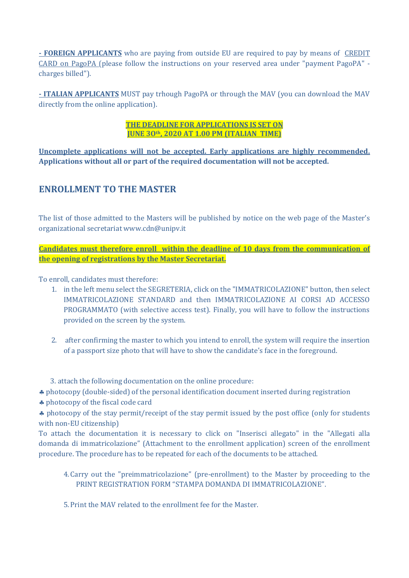**- FOREIGN APPLICANTS** who are paying from outside EU are required to pay by means of CREDIT CARD on PagoPA (please follow the instructions on your reserved area under "payment PagoPA" charges billed").

**- ITALIAN APPLICANTS** MUST pay trhough PagoPA or through the MAV (you can download the MAV directly from the online application).

> **THE DEADLINE FOR APPLICATIONS IS SET ON JUNE 3Oth, 2020 AT 1.00 PM (ITALIAN TIME)**

**Uncomplete applications will not be accepted. Early applications are highly recommended. Applications without all or part of the required documentation will not be accepted.** 

## **ENROLLMENT TO THE MASTER**

The list of those admitted to the Masters will be published by notice on the web page of the Master's organizational secretariat www.cdn@unipv.it

**Candidates must therefore enroll within the deadline of 10 days from the communication of the opening of registrations by the Master Secretariat.**

To enroll, candidates must therefore:

- 1. in the left menu select the SEGRETERIA, click on the "IMMATRICOLAZIONE" button, then select IMMATRICOLAZIONE STANDARD and then IMMATRICOLAZIONE AI CORSI AD ACCESSO PROGRAMMATO (with selective access test). Finally, you will have to follow the instructions provided on the screen by the system.
- 2. after confirming the master to which you intend to enroll, the system will require the insertion of a passport size photo that will have to show the candidate's face in the foreground.

3. attach the following documentation on the online procedure:

photocopy (double-sided) of the personal identification document inserted during registration

\* photocopy of the fiscal code card

\* photocopy of the stay permit/receipt of the stay permit issued by the post office (only for students with non-EU citizenship)

To attach the documentation it is necessary to click on "Inserisci allegato" in the "Allegati alla domanda di immatricolazione" (Attachment to the enrollment application) screen of the enrollment procedure. The procedure has to be repeated for each of the documents to be attached.

4.Carry out the "preimmatricolazione" (pre-enrollment) to the Master by proceeding to the PRINT REGISTRATION FORM "STAMPA DOMANDA DI IMMATRICOLAZIONE".

5.Print the MAV related to the enrollment fee for the Master.